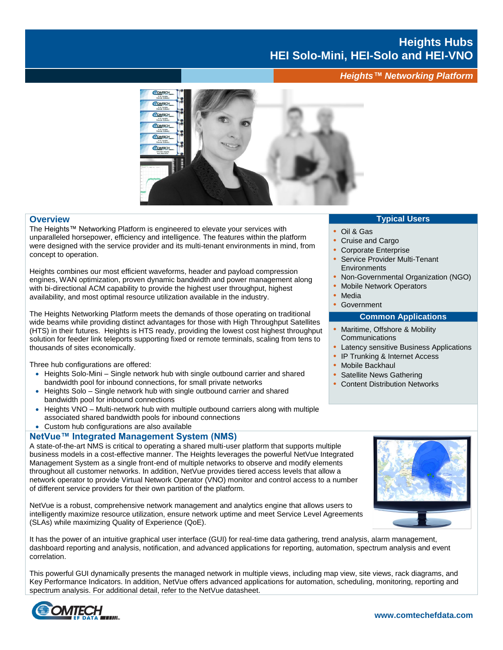# **Heights Hubs HEI Solo-Mini, HEI-Solo and HEI-VNO**

*Heights™ Networking Platform*



#### **Overview**

The Heights™ Networking Platform is engineered to elevate your services with unparalleled horsepower, efficiency and intelligence. The features within the platform were designed with the service provider and its multi-tenant environments in mind, from concept to operation.

Heights combines our most efficient waveforms, header and payload compression engines, WAN optimization, proven dynamic bandwidth and power management along with bi-directional ACM capability to provide the highest user throughput, highest availability, and most optimal resource utilization available in the industry.

The Heights Networking Platform meets the demands of those operating on traditional wide beams while providing distinct advantages for those with High Throughput Satellites (HTS) in their futures. Heights is HTS ready, providing the lowest cost highest throughput solution for feeder link teleports supporting fixed or remote terminals, scaling from tens to thousands of sites economically.

Three hub configurations are offered:

- Heights Solo-Mini Single network hub with single outbound carrier and shared bandwidth pool for inbound connections, for small private networks
- Heights Solo Single network hub with single outbound carrier and shared bandwidth pool for inbound connections
- Heights VNO Multi-network hub with multiple outbound carriers along with multiple associated shared bandwidth pools for inbound connections
- Custom hub configurations are also available

#### **NetVue™ Integrated Management System (NMS)**

A state-of-the-art NMS is critical to operating a shared multi-user platform that supports multiple business models in a cost-effective manner. The Heights leverages the powerful NetVue Integrated Management System as a single front-end of multiple networks to observe and modify elements throughout all customer networks. In addition, NetVue provides tiered access levels that allow a network operator to provide Virtual Network Operator (VNO) monitor and control access to a number of different service providers for their own partition of the platform.

NetVue is a robust, comprehensive network management and analytics engine that allows users to intelligently maximize resource utilization, ensure network uptime and meet Service Level Agreements (SLAs) while maximizing Quality of Experience (QoE).

It has the power of an intuitive graphical user interface (GUI) for real-time data gathering, trend analysis, alarm management, dashboard reporting and analysis, notification, and advanced applications for reporting, automation, spectrum analysis and event correlation.

This powerful GUI dynamically presents the managed network in multiple views, including map view, site views, rack diagrams, and Key Performance Indicators. In addition, NetVue offers advanced applications for automation, scheduling, monitoring, reporting and spectrum analysis. For additional detail, refer to the NetVue datasheet.



## **Typical Users**

- **•** Oil & Gas
- **•** Cruise and Cargo
- **•** Corporate Enterprise
- **•** Service Provider Multi-Tenant **Environments**
- **•** Non-Governmental Organization (NGO)
- **•** Mobile Network Operators
- **•** Media
- **•** Government

#### **Common Applications**

- **•** Maritime, Offshore & Mobility **Communications**
- **•** Latency sensitive Business Applications
- **•** IP Trunking & Internet Access
- **•** Mobile Backhaul
- **•** Satellite News Gathering
- **•** Content Distribution Networks

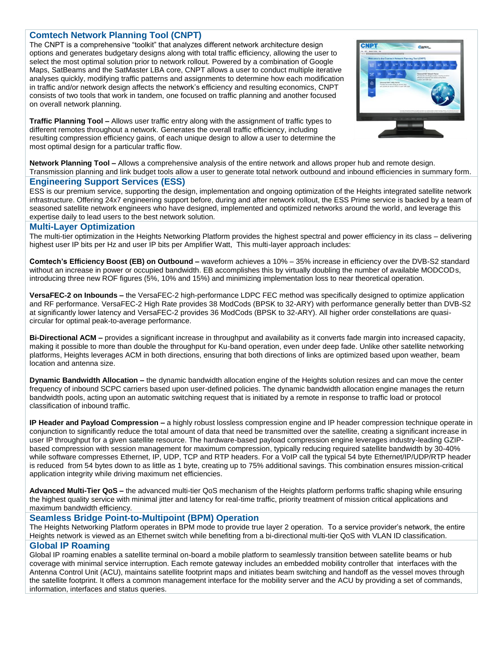## **Comtech Network Planning Tool (CNPT)**

The CNPT is a comprehensive "toolkit" that analyzes different network architecture design options and generates budgetary designs along with total traffic efficiency, allowing the user to select the most optimal solution prior to network rollout. Powered by a combination of Google Maps, SatBeams and the SatMaster LBA core, CNPT allows a user to conduct multiple iterative analyses quickly, modifying traffic patterns and assignments to determine how each modification in traffic and/or network design affects the network's efficiency and resulting economics, CNPT consists of two tools that work in tandem, one focused on traffic planning and another focused on overall network planning.

**Traffic Planning Tool –** Allows user traffic entry along with the assignment of traffic types to different remotes throughout a network. Generates the overall traffic efficiency, including resulting compression efficiency gains, of each unique design to allow a user to determine the most optimal design for a particular traffic flow.



**Network Planning Tool –** Allows a comprehensive analysis of the entire network and allows proper hub and remote design. Transmission planning and link budget tools allow a user to generate total network outbound and inbound efficiencies in summary form.

#### **Engineering Support Services (ESS)**

ESS is our premium service, supporting the design, implementation and ongoing optimization of the Heights integrated satellite network infrastructure. Offering 24x7 engineering support before, during and after network rollout, the ESS Prime service is backed by a team of seasoned satellite network engineers who have designed, implemented and optimized networks around the world, and leverage this expertise daily to lead users to the best network solution.

#### **Multi-Layer Optimization**

The multi-tier optimization in the Heights Networking Platform provides the highest spectral and power efficiency in its class – delivering highest user IP bits per Hz and user IP bits per Amplifier Watt, This multi-layer approach includes:

**Comtech's Efficiency Boost (EB) on Outbound –** waveform achieves a 10% – 35% increase in efficiency over the DVB-S2 standard without an increase in power or occupied bandwidth. EB accomplishes this by virtually doubling the number of available MODCODs, introducing three new ROF figures (5%, 10% and 15%) and minimizing implementation loss to near theoretical operation.

**VersaFEC-2 on Inbounds –** the VersaFEC-2 high-performance LDPC FEC method was specifically designed to optimize application and RF performance. VersaFEC-2 High Rate provides 38 ModCods (BPSK to 32-ARY) with performance generally better than DVB-S2 at significantly lower latency and VersaFEC-2 provides 36 ModCods (BPSK to 32-ARY). All higher order constellations are quasicircular for optimal peak-to-average performance.

**Bi-Directional ACM –** provides a significant increase in throughput and availability as it converts fade margin into increased capacity, making it possible to more than double the throughput for Ku-band operation, even under deep fade. Unlike other satellite networking platforms, Heights leverages ACM in both directions, ensuring that both directions of links are optimized based upon weather, beam location and antenna size.

**Dynamic Bandwidth Allocation –** the dynamic bandwidth allocation engine of the Heights solution resizes and can move the center frequency of inbound SCPC carriers based upon user-defined policies. The dynamic bandwidth allocation engine manages the return bandwidth pools, acting upon an automatic switching request that is initiated by a remote in response to traffic load or protocol classification of inbound traffic.

**IP Header and Payload Compression –** a highly robust lossless compression engine and IP header compression technique operate in conjunction to significantly reduce the total amount of data that need be transmitted over the satellite, creating a significant increase in user IP throughput for a given satellite resource. The hardware-based payload compression engine leverages industry-leading GZIPbased compression with session management for maximum compression, typically reducing required satellite bandwidth by 30-40% while software compresses Ethernet, IP, UDP, TCP and RTP headers. For a VoIP call the typical 54 byte Ethernet/IP/UDP/RTP header is reduced from 54 bytes down to as little as 1 byte, creating up to 75% additional savings. This combination ensures mission-critical application integrity while driving maximum net efficiencies.

**Advanced Multi-Tier QoS –** the advanced multi-tier QoS mechanism of the Heights platform performs traffic shaping while ensuring the highest quality service with minimal jitter and latency for real-time traffic, priority treatment of mission critical applications and maximum bandwidth efficiency.

#### **Seamless Bridge Point-to-Multipoint (BPM) Operation**

The Heights Networking Platform operates in BPM mode to provide true layer 2 operation. To a service provider's network, the entire Heights network is viewed as an Ethernet switch while benefiting from a bi-directional multi-tier QoS with VLAN ID classification. **Global IP Roaming**

Global IP roaming enables a satellite terminal on-board a mobile platform to seamlessly transition between satellite beams or hub coverage with minimal service interruption. Each remote gateway includes an embedded mobility controller that interfaces with the Antenna Control Unit (ACU), maintains satellite footprint maps and initiates beam switching and handoff as the vessel moves through the satellite footprint. It offers a common management interface for the mobility server and the ACU by providing a set of commands, information, interfaces and status queries.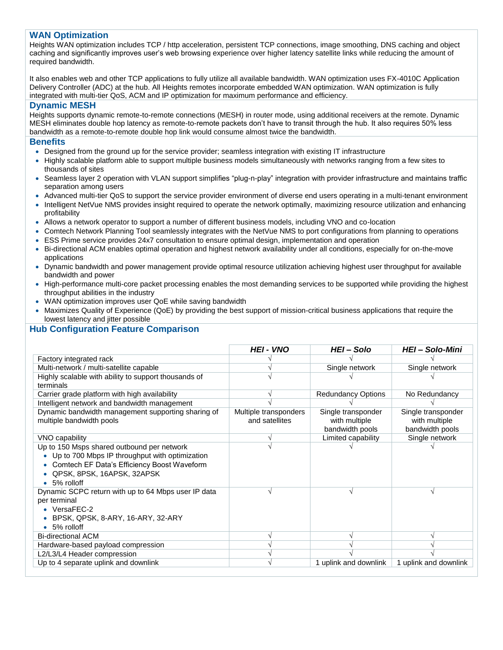## **WAN Optimization**

Heights WAN optimization includes TCP / http acceleration, persistent TCP connections, image smoothing, DNS caching and object caching and significantly improves user's web browsing experience over higher latency satellite links while reducing the amount of required bandwidth.

It also enables web and other TCP applications to fully utilize all available bandwidth. WAN optimization uses FX-4010C Application Delivery Controller (ADC) at the hub. All Heights remotes incorporate embedded WAN optimization. WAN optimization is fully integrated with multi-tier QoS, ACM and IP optimization for maximum performance and efficiency.

#### **Dynamic MESH**

Heights supports dynamic remote-to-remote connections (MESH) in router mode, using additional receivers at the remote. Dynamic MESH eliminates double hop latency as remote-to-remote packets don't have to transit through the hub. It also requires 50% less bandwidth as a remote-to-remote double hop link would consume almost twice the bandwidth.

#### **Benefits**

- Designed from the ground up for the service provider; seamless integration with existing IT infrastructure
- Highly scalable platform able to support multiple business models simultaneously with networks ranging from a few sites to thousands of sites
- Seamless layer 2 operation with VLAN support simplifies "plug-n-play" integration with provider infrastructure and maintains traffic separation among users
- Advanced multi-tier QoS to support the service provider environment of diverse end users operating in a multi-tenant environment
- Intelligent NetVue NMS provides insight required to operate the network optimally, maximizing resource utilization and enhancing profitability
- Allows a network operator to support a number of different business models, including VNO and co-location
- Comtech Network Planning Tool seamlessly integrates with the NetVue NMS to port configurations from planning to operations
- ESS Prime service provides 24x7 consultation to ensure optimal design, implementation and operation
- Bi-directional ACM enables optimal operation and highest network availability under all conditions, especially for on-the-move applications
- Dynamic bandwidth and power management provide optimal resource utilization achieving highest user throughput for available bandwidth and power
- High-performance multi-core packet processing enables the most demanding services to be supported while providing the highest throughput abilities in the industry
- WAN optimization improves user QoE while saving bandwidth
- Maximizes Quality of Experience (QoE) by providing the best support of mission-critical business applications that require the lowest latency and jitter possible

## **Hub Configuration Feature Comparison**

|                                                                                                                                                                                           | <b>HEI - VNO</b>                        | HEI-Solo                                               | <b>HEI-Solo-Mini</b>                                   |
|-------------------------------------------------------------------------------------------------------------------------------------------------------------------------------------------|-----------------------------------------|--------------------------------------------------------|--------------------------------------------------------|
| Factory integrated rack                                                                                                                                                                   |                                         |                                                        |                                                        |
| Multi-network / multi-satellite capable                                                                                                                                                   |                                         | Single network                                         | Single network                                         |
| Highly scalable with ability to support thousands of<br>terminals                                                                                                                         |                                         |                                                        |                                                        |
| Carrier grade platform with high availability                                                                                                                                             |                                         | <b>Redundancy Options</b>                              | No Redundancy                                          |
| Intelligent network and bandwidth management                                                                                                                                              |                                         |                                                        |                                                        |
| Dynamic bandwidth management supporting sharing of<br>multiple bandwidth pools                                                                                                            | Multiple transponders<br>and satellites | Single transponder<br>with multiple<br>bandwidth pools | Single transponder<br>with multiple<br>bandwidth pools |
| VNO capability                                                                                                                                                                            |                                         | Limited capability                                     | Single network                                         |
| Up to 150 Msps shared outbound per network<br>• Up to 700 Mbps IP throughput with optimization<br>Comtech EF Data's Efficiency Boost Waveform<br>QPSK, 8PSK, 16APSK, 32APSK<br>5% rolloff |                                         |                                                        |                                                        |
| Dynamic SCPC return with up to 64 Mbps user IP data<br>per terminal<br>• VersaFEC-2<br>BPSK, QPSK, 8-ARY, 16-ARY, 32-ARY<br>$\bullet$ 5% rolloff                                          |                                         |                                                        |                                                        |
| <b>Bi-directional ACM</b>                                                                                                                                                                 |                                         |                                                        |                                                        |
| Hardware-based payload compression                                                                                                                                                        |                                         |                                                        |                                                        |
| L2/L3/L4 Header compression                                                                                                                                                               |                                         |                                                        |                                                        |
| Up to 4 separate uplink and downlink                                                                                                                                                      |                                         | 1 uplink and downlink                                  | 1 uplink and downlink                                  |